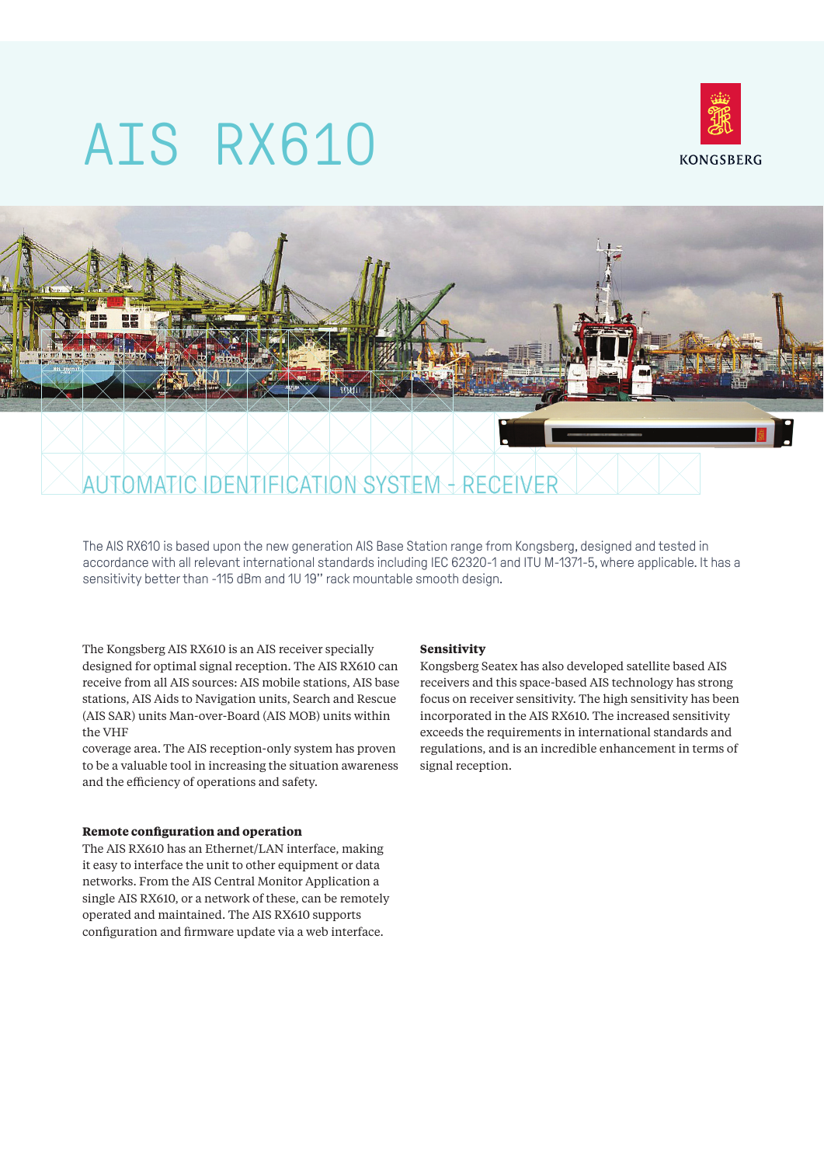# AIS RX610





The AIS RX610 is based upon the new generation AIS Base Station range from Kongsberg, designed and tested in accordance with all relevant international standards including IEC 62320-1 and ITU M-1371-5, where applicable. It has a sensitivity better than -115 dBm and 1U 19'' rack mountable smooth design.

The Kongsberg AIS RX610 is an AIS receiver specially designed for optimal signal reception. The AIS RX610 can receive from all AIS sources: AIS mobile stations, AIS base stations, AIS Aids to Navigation units, Search and Rescue (AIS SAR) units Man-over-Board (AIS MOB) units within the VHF

coverage area. The AIS reception-only system has proven to be a valuable tool in increasing the situation awareness and the efficiency of operations and safety.

## **Remote configuration and operation**

The AIS RX610 has an Ethernet/LAN interface, making it easy to interface the unit to other equipment or data networks. From the AIS Central Monitor Application a single AIS RX610, or a network of these, can be remotely operated and maintained. The AIS RX610 supports configuration and firmware update via a web interface.

### **Sensitivity**

Kongsberg Seatex has also developed satellite based AIS receivers and this space-based AIS technology has strong focus on receiver sensitivity. The high sensitivity has been incorporated in the AIS RX610. The increased sensitivity exceeds the requirements in international standards and regulations, and is an incredible enhancement in terms of signal reception.